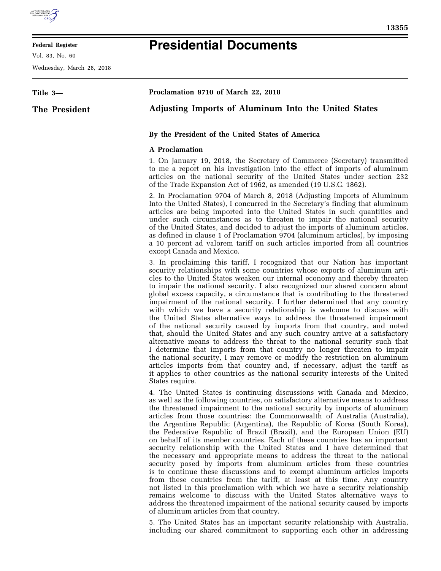

## **Federal Register**

Vol. 83, No. 60

Wednesday, March 28, 2018

## **Presidential Documents**

| Title 3-      | Proclamation 9710 of March 22, 2018                                                                                                                                                                                                                                                                                                                                                                                                                                                                                                                                                                                                                                                                                                                                                                                                                                                                                                                                                                                                                                                                                                                                                                                         |
|---------------|-----------------------------------------------------------------------------------------------------------------------------------------------------------------------------------------------------------------------------------------------------------------------------------------------------------------------------------------------------------------------------------------------------------------------------------------------------------------------------------------------------------------------------------------------------------------------------------------------------------------------------------------------------------------------------------------------------------------------------------------------------------------------------------------------------------------------------------------------------------------------------------------------------------------------------------------------------------------------------------------------------------------------------------------------------------------------------------------------------------------------------------------------------------------------------------------------------------------------------|
| The President | <b>Adjusting Imports of Aluminum Into the United States</b>                                                                                                                                                                                                                                                                                                                                                                                                                                                                                                                                                                                                                                                                                                                                                                                                                                                                                                                                                                                                                                                                                                                                                                 |
|               | By the President of the United States of America                                                                                                                                                                                                                                                                                                                                                                                                                                                                                                                                                                                                                                                                                                                                                                                                                                                                                                                                                                                                                                                                                                                                                                            |
|               | <b>A</b> Proclamation                                                                                                                                                                                                                                                                                                                                                                                                                                                                                                                                                                                                                                                                                                                                                                                                                                                                                                                                                                                                                                                                                                                                                                                                       |
|               | 1. On January 19, 2018, the Secretary of Commerce (Secretary) transmitted<br>to me a report on his investigation into the effect of imports of aluminum<br>articles on the national security of the United States under section 232<br>of the Trade Expansion Act of 1962, as amended (19 U.S.C. 1862).                                                                                                                                                                                                                                                                                                                                                                                                                                                                                                                                                                                                                                                                                                                                                                                                                                                                                                                     |
|               | 2. In Proclamation 9704 of March 8, 2018 (Adjusting Imports of Aluminum<br>Into the United States), I concurred in the Secretary's finding that aluminum<br>articles are being imported into the United States in such quantities and<br>under such circumstances as to threaten to impair the national security<br>of the United States, and decided to adjust the imports of aluminum articles,<br>as defined in clause 1 of Proclamation 9704 (aluminum articles), by imposing<br>a 10 percent ad valorem tariff on such articles imported from all countries<br>except Canada and Mexico.                                                                                                                                                                                                                                                                                                                                                                                                                                                                                                                                                                                                                               |
|               | 3. In proclaiming this tariff, I recognized that our Nation has important<br>security relationships with some countries whose exports of aluminum arti-<br>cles to the United States weaken our internal economy and thereby threaten<br>to impair the national security. I also recognized our shared concern about<br>global excess capacity, a circumstance that is contributing to the threatened<br>impairment of the national security. I further determined that any country<br>with which we have a security relationship is welcome to discuss with<br>the United States alternative ways to address the threatened impairment<br>of the national security caused by imports from that country, and noted<br>that, should the United States and any such country arrive at a satisfactory<br>alternative means to address the threat to the national security such that<br>I determine that imports from that country no longer threaten to impair<br>the national security, I may remove or modify the restriction on aluminum<br>articles imports from that country and, if necessary, adjust the tariff as<br>it applies to other countries as the national security interests of the United<br>States require. |
|               | 4. The United States is continuing discussions with Canada and Mexico,<br>as well as the following countries, on satisfactory alternative means to address<br>the threatened impairment to the national security by imports of aluminum<br>articles from those countries: the Commonwealth of Australia (Australia),<br>the Argentine Republic (Argentina), the Republic of Korea (South Korea),<br>the Federative Republic of Brazil (Brazil), and the European Union (EU)<br>on behalf of its member countries. Each of these countries has an important<br>security relationship with the United States and I have determined that<br>the necessary and appropriate means to address the threat to the national<br>security posed by imports from aluminum articles from these countries<br>is to continue these discussions and to exempt aluminum articles imports<br>from these countries from the tariff, at least at this time. Any country<br>not listed in this proclamation with which we have a security relationship<br>remains welcome to discuss with the United States alternative ways to<br>address the threatened impairment of the national security caused by imports                                  |

of aluminum articles from that country.

5. The United States has an important security relationship with Australia, including our shared commitment to supporting each other in addressing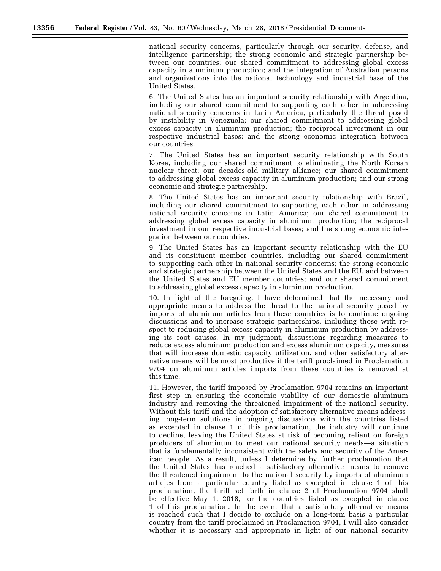national security concerns, particularly through our security, defense, and intelligence partnership; the strong economic and strategic partnership between our countries; our shared commitment to addressing global excess capacity in aluminum production; and the integration of Australian persons and organizations into the national technology and industrial base of the United States.

6. The United States has an important security relationship with Argentina, including our shared commitment to supporting each other in addressing national security concerns in Latin America, particularly the threat posed by instability in Venezuela; our shared commitment to addressing global excess capacity in aluminum production; the reciprocal investment in our respective industrial bases; and the strong economic integration between our countries.

7. The United States has an important security relationship with South Korea, including our shared commitment to eliminating the North Korean nuclear threat; our decades-old military alliance; our shared commitment to addressing global excess capacity in aluminum production; and our strong economic and strategic partnership.

8. The United States has an important security relationship with Brazil, including our shared commitment to supporting each other in addressing national security concerns in Latin America; our shared commitment to addressing global excess capacity in aluminum production; the reciprocal investment in our respective industrial bases; and the strong economic integration between our countries.

9. The United States has an important security relationship with the EU and its constituent member countries, including our shared commitment to supporting each other in national security concerns; the strong economic and strategic partnership between the United States and the EU, and between the United States and EU member countries; and our shared commitment to addressing global excess capacity in aluminum production.

10. In light of the foregoing, I have determined that the necessary and appropriate means to address the threat to the national security posed by imports of aluminum articles from these countries is to continue ongoing discussions and to increase strategic partnerships, including those with respect to reducing global excess capacity in aluminum production by addressing its root causes. In my judgment, discussions regarding measures to reduce excess aluminum production and excess aluminum capacity, measures that will increase domestic capacity utilization, and other satisfactory alternative means will be most productive if the tariff proclaimed in Proclamation 9704 on aluminum articles imports from these countries is removed at this time.

11. However, the tariff imposed by Proclamation 9704 remains an important first step in ensuring the economic viability of our domestic aluminum industry and removing the threatened impairment of the national security. Without this tariff and the adoption of satisfactory alternative means addressing long-term solutions in ongoing discussions with the countries listed as excepted in clause 1 of this proclamation, the industry will continue to decline, leaving the United States at risk of becoming reliant on foreign producers of aluminum to meet our national security needs—a situation that is fundamentally inconsistent with the safety and security of the American people. As a result, unless I determine by further proclamation that the United States has reached a satisfactory alternative means to remove the threatened impairment to the national security by imports of aluminum articles from a particular country listed as excepted in clause 1 of this proclamation, the tariff set forth in clause 2 of Proclamation 9704 shall be effective May 1, 2018, for the countries listed as excepted in clause 1 of this proclamation. In the event that a satisfactory alternative means is reached such that I decide to exclude on a long-term basis a particular country from the tariff proclaimed in Proclamation 9704, I will also consider whether it is necessary and appropriate in light of our national security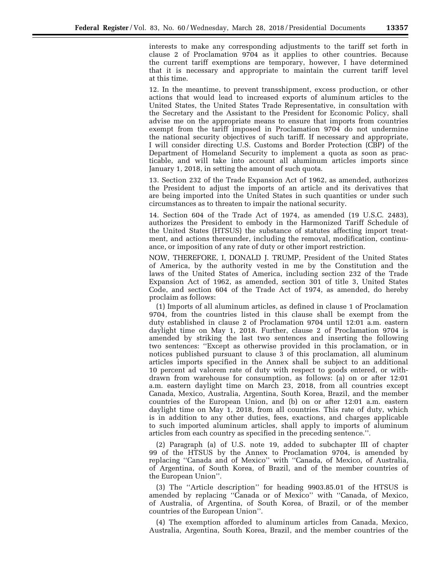interests to make any corresponding adjustments to the tariff set forth in clause 2 of Proclamation 9704 as it applies to other countries. Because the current tariff exemptions are temporary, however, I have determined that it is necessary and appropriate to maintain the current tariff level at this time.

12. In the meantime, to prevent transshipment, excess production, or other actions that would lead to increased exports of aluminum articles to the United States, the United States Trade Representative, in consultation with the Secretary and the Assistant to the President for Economic Policy, shall advise me on the appropriate means to ensure that imports from countries exempt from the tariff imposed in Proclamation 9704 do not undermine the national security objectives of such tariff. If necessary and appropriate, I will consider directing U.S. Customs and Border Protection (CBP) of the Department of Homeland Security to implement a quota as soon as practicable, and will take into account all aluminum articles imports since January 1, 2018, in setting the amount of such quota.

13. Section 232 of the Trade Expansion Act of 1962, as amended, authorizes the President to adjust the imports of an article and its derivatives that are being imported into the United States in such quantities or under such circumstances as to threaten to impair the national security.

14. Section 604 of the Trade Act of 1974, as amended (19 U.S.C. 2483), authorizes the President to embody in the Harmonized Tariff Schedule of the United States (HTSUS) the substance of statutes affecting import treatment, and actions thereunder, including the removal, modification, continuance, or imposition of any rate of duty or other import restriction.

NOW, THEREFORE, I, DONALD J. TRUMP, President of the United States of America, by the authority vested in me by the Constitution and the laws of the United States of America, including section 232 of the Trade Expansion Act of 1962, as amended, section 301 of title 3, United States Code, and section 604 of the Trade Act of 1974, as amended, do hereby proclaim as follows:

(1) Imports of all aluminum articles, as defined in clause 1 of Proclamation 9704, from the countries listed in this clause shall be exempt from the duty established in clause 2 of Proclamation 9704 until 12:01 a.m. eastern daylight time on May 1, 2018. Further, clause 2 of Proclamation 9704 is amended by striking the last two sentences and inserting the following two sentences: ''Except as otherwise provided in this proclamation, or in notices published pursuant to clause 3 of this proclamation, all aluminum articles imports specified in the Annex shall be subject to an additional 10 percent ad valorem rate of duty with respect to goods entered, or withdrawn from warehouse for consumption, as follows: (a) on or after 12:01 a.m. eastern daylight time on March 23, 2018, from all countries except Canada, Mexico, Australia, Argentina, South Korea, Brazil, and the member countries of the European Union, and (b) on or after 12:01 a.m. eastern daylight time on May 1, 2018, from all countries. This rate of duty, which is in addition to any other duties, fees, exactions, and charges applicable to such imported aluminum articles, shall apply to imports of aluminum articles from each country as specified in the preceding sentence.''.

(2) Paragraph (a) of U.S. note 19, added to subchapter III of chapter 99 of the HTSUS by the Annex to Proclamation 9704, is amended by replacing ''Canada and of Mexico'' with ''Canada, of Mexico, of Australia, of Argentina, of South Korea, of Brazil, and of the member countries of the European Union''.

(3) The ''Article description'' for heading 9903.85.01 of the HTSUS is amended by replacing ''Canada or of Mexico'' with ''Canada, of Mexico, of Australia, of Argentina, of South Korea, of Brazil, or of the member countries of the European Union''.

(4) The exemption afforded to aluminum articles from Canada, Mexico, Australia, Argentina, South Korea, Brazil, and the member countries of the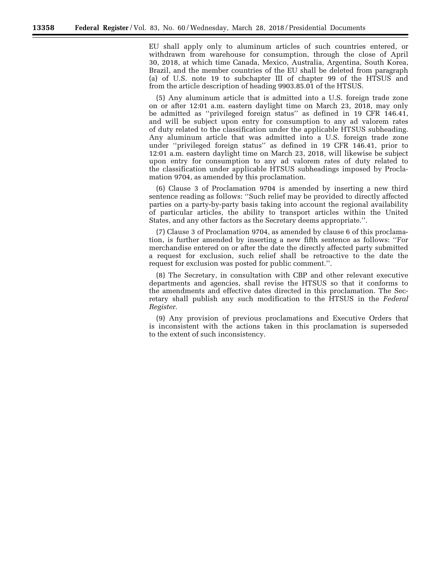EU shall apply only to aluminum articles of such countries entered, or withdrawn from warehouse for consumption, through the close of April 30, 2018, at which time Canada, Mexico, Australia, Argentina, South Korea, Brazil, and the member countries of the EU shall be deleted from paragraph (a) of U.S. note 19 to subchapter III of chapter 99 of the HTSUS and from the article description of heading 9903.85.01 of the HTSUS.

(5) Any aluminum article that is admitted into a U.S. foreign trade zone on or after 12:01 a.m. eastern daylight time on March 23, 2018, may only be admitted as ''privileged foreign status'' as defined in 19 CFR 146.41, and will be subject upon entry for consumption to any ad valorem rates of duty related to the classification under the applicable HTSUS subheading. Any aluminum article that was admitted into a U.S. foreign trade zone under ''privileged foreign status'' as defined in 19 CFR 146.41, prior to 12:01 a.m. eastern daylight time on March 23, 2018, will likewise be subject upon entry for consumption to any ad valorem rates of duty related to the classification under applicable HTSUS subheadings imposed by Proclamation 9704, as amended by this proclamation.

(6) Clause 3 of Proclamation 9704 is amended by inserting a new third sentence reading as follows: ''Such relief may be provided to directly affected parties on a party-by-party basis taking into account the regional availability of particular articles, the ability to transport articles within the United States, and any other factors as the Secretary deems appropriate.''.

(7) Clause 3 of Proclamation 9704, as amended by clause 6 of this proclamation, is further amended by inserting a new fifth sentence as follows: ''For merchandise entered on or after the date the directly affected party submitted a request for exclusion, such relief shall be retroactive to the date the request for exclusion was posted for public comment.''.

(8) The Secretary, in consultation with CBP and other relevant executive departments and agencies, shall revise the HTSUS so that it conforms to the amendments and effective dates directed in this proclamation. The Secretary shall publish any such modification to the HTSUS in the *Federal Register.* 

(9) Any provision of previous proclamations and Executive Orders that is inconsistent with the actions taken in this proclamation is superseded to the extent of such inconsistency.